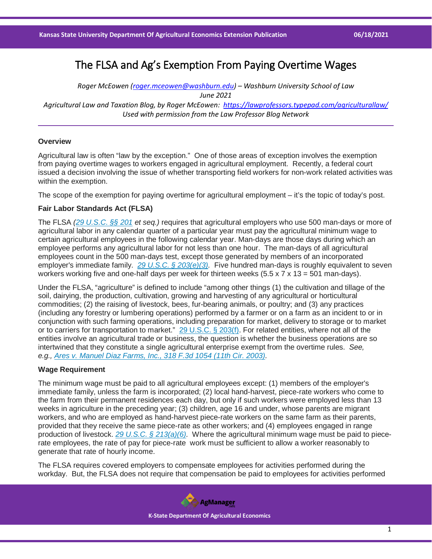# The FLSA and Ag's Exemption From Paying Overtime Wages

*Roger McEowen [\(roger.mceowen@washburn.edu\)](mailto:roger.mceowen@washburn.edu) – Washburn University School of Law June 2021 Agricultural Law and Taxation Blog, by Roger McEowen:<https://lawprofessors.typepad.com/agriculturallaw/> Used with permission from the Law Professor Blog Network*

## **Overview**

Agricultural law is often "law by the exception." One of those areas of exception involves the exemption from paying overtime wages to workers engaged in agricultural employment. Recently, a federal court issued a decision involving the issue of whether transporting field workers for non-work related activities was within the exemption.

The scope of the exemption for paying overtime for agricultural employment – it's the topic of today's post.

#### **Fair Labor Standards Act (FLSA)**

The FLSA *[\(29 U.S.C. §§ 201](https://casetext.com/statute/united-states-code/title-29-labor/chapter-8-fair-labor-standards/section-201-short-title?ref=ArRBZs!mEtSpD) et seq.)* requires that agricultural employers who use 500 man-days or more of agricultural labor in any calendar quarter of a particular year must pay the agricultural minimum wage to certain agricultural employees in the following calendar year. Man-days are those days during which an employee performs any agricultural labor for not less than one hour. The man-days of all agricultural employees count in the 500 man-days test, except those generated by members of an incorporated employer's immediate family. *[29 U.S.C. § 203\(e\)\(3\).](https://casetext.com/statute/united-states-code/title-29-labor/chapter-8-fair-labor-standards/section-203-definitions?ref=ArRBZs!p-bI5Y)* Five hundred man-days is roughly equivalent to seven workers working five and one-half days per week for thirteen weeks  $(5.5 \times 7 \times 13 = 501$  man-days).

Under the FLSA, "agriculture" is defined to include "among other things (1) the cultivation and tillage of the soil, dairying, the production, cultivation, growing and harvesting of any agricultural or horticultural commodities; (2) the raising of livestock, bees, fur-bearing animals, or poultry; and (3) any practices (including any forestry or lumbering operations) performed by a farmer or on a farm as an incident to or in conjunction with such farming operations, including preparation for market, delivery to storage or to market or to carriers for transportation to market." [29 U.S.C. § 203\(f\).](https://casetext.com/statute/united-states-code/title-29-labor/chapter-8-fair-labor-standards/section-203-definitions?ref=ArRBZs!p-bI5Y) For related entities, where not all of the entities involve an agricultural trade or business, the question is whether the business operations are so intertwined that they constitute a single agricultural enterprise exempt from the overtime rules. *See, e.g., [Ares v. Manuel Diaz Farms, Inc., 318 F.3d 1054 \(11th Cir. 2003\).](https://casetext.com/case/ares-v-manuel-diaz-farms-inc?ref=ArRBZs!V6QNvG)*

## **Wage Requirement**

The minimum wage must be paid to all agricultural employees except: (1) members of the employer's immediate family, unless the farm is incorporated; (2) local hand-harvest, piece-rate workers who come to the farm from their permanent residences each day, but only if such workers were employed less than 13 weeks in agriculture in the preceding year; (3) children, age 16 and under, whose parents are migrant workers, and who are employed as hand-harvest piece-rate workers on the same farm as their parents, provided that they receive the same piece-rate as other workers; and (4) employees engaged in range production of livestock. *[29 U.S.C. § 213\(a\)\(6\).](https://casetext.com/statute/united-states-code/title-29-labor/chapter-8-fair-labor-standards/section-213-exemptions?ref=ArRBZs!NXNk6s)* Where the agricultural minimum wage must be paid to piecerate employees, the rate of pay for piece-rate work must be sufficient to allow a worker reasonably to generate that rate of hourly income.

The FLSA requires covered employers to compensate employees for activities performed during the workday. But, the FLSA does not require that compensation be paid to employees for activities performed

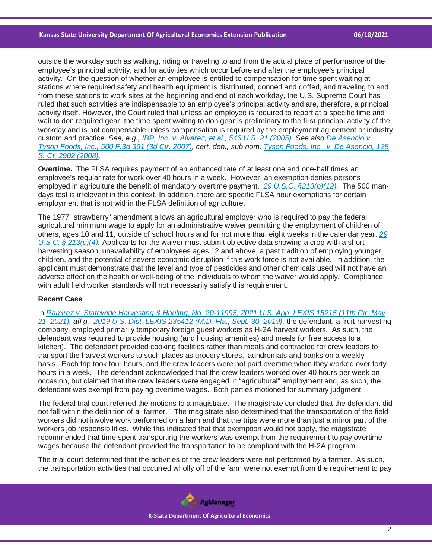outside the workday such as walking, riding or traveling to and from the actual place of performance of the employee's principal activity, and for activities which occur before and after the employee's principal activity. On the question of whether an employee is entitled to compensation for time spent waiting at stations where required safety and health equipment is distributed, donned and doffed, and traveling to and from these stations to work sites at the beginning and end of each workday, the U.S. Supreme Court has ruled that such activities are indispensable to an employee's principal activity and are, therefore, a principal activity itself. However, the Court ruled that unless an employee is required to report at a specific time and wait to don required gear, the time spent waiting to don gear is preliminary to the first principal activity of the workday and is not compensable unless compensation is required by the employment agreement or industry custom and practice. *See, e.g., [IBP, Inc. v. Alvarez, et al., 546 U.S. 21 \(2005\).](https://casetext.com/case/ibp-inc-v-alvarez-4?ref=ArRBZs!DsvcD0) See also [De Asencio v.](https://casetext.com/case/de-asencio-v-tyson-foods-2?ref=ArRBZs!JHYIJA)  [Tyson Foods, Inc., 500 F.3d 361 \(3d Cir. 2007\),](https://casetext.com/case/de-asencio-v-tyson-foods-2?ref=ArRBZs!JHYIJA) cert. den., sub nom. [Tyson Foods, Inc., v. De Asencio, 128](https://casetext.com/case/tyson-foods-v-de-asencio?ref=ArRBZs!Kt7FE-)  [S. Ct. 2902 \(2008\).](https://casetext.com/case/tyson-foods-v-de-asencio?ref=ArRBZs!Kt7FE-)*

**Overtime.** The FLSA requires payment of an enhanced rate of at least one and one-half times an employee's regular rate for work over 40 hours in a week. However, an exemption denies persons employed in agriculture the benefit of mandatory overtime payment. *[29 U.S.C. §213\(b\)\(12\).](https://casetext.com/statute/united-states-code/title-29-labor/chapter-8-fair-labor-standards/section-213-exemptions?ref=ArRBZs!NXNk6s)* The 500 mandays test is irrelevant in this context. In addition, there are specific FLSA hour exemptions for certain employment that is not within the FLSA definition of agriculture.

The 1977 "strawberry" amendment allows an agricultural employer who is required to pay the federal agricultural minimum wage to apply for an administrative waiver permitting the employment of children of others, ages 10 and 11, outside of school hours and for not more than eight weeks in the calendar year. *[29](https://casetext.com/statute/united-states-code/title-29-labor/chapter-8-fair-labor-standards/section-213-exemptions?ref=ArRBZs!NXNk6s)  [U.S.C. § 213\(c\)\(4\).](https://casetext.com/statute/united-states-code/title-29-labor/chapter-8-fair-labor-standards/section-213-exemptions?ref=ArRBZs!NXNk6s)* Applicants for the waiver must submit objective data showing a crop with a short harvesting season, unavailability of employees ages 12 and above, a past tradition of employing younger children, and the potential of severe economic disruption if this work force is not available. In addition, the applicant must demonstrate that the level and type of pesticides and other chemicals used will not have an adverse effect on the health or well-being of the individuals to whom the waiver would apply. Compliance with adult field worker standards will not necessarily satisfy this requirement.

#### **Recent Case**

In *[Ramirez v. Statewide Harvesting & Hauling, No. 20-11995, 2021 U.S. App. LEXIS 15215 \(11th Cir. May](https://casetext.com/case/ramirez-v-statewide-harvesting-hauling-llc?ref=ArRBZs!q3T6f7)  21, [2021\),](https://casetext.com/case/ramirez-v-statewide-harvesting-hauling-llc?ref=ArRBZs!q3T6f7) aff'g., [2019 U.S. Dist. LEXIS 235412 \(M.D. Fla., Sept. 30, 2019\),](https://plus.lexis.com/document/documentlink/?pdmfid=1530671&crid=487d8967-3f22-4dec-a3e8-38a530e4dd7d&pddocfullpath=%2Fshared%2Fdocument%2Fcases%2Furn%3AcontentItem%3A61KG-BKJ1-FCYK-231M-00000-00&pdcontentcomponentid=6421&pdproductcontenttypeid=urn%3Apct%3A30&pdiskwicview=false&pdpinpoint=&prid=04c886a7-e4ee-424a-b922-46e3b0c19f1f&ecomp=83tdk)* the defendant, a fruit-harvesting company, employed primarily temporary foreign guest workers as H-2A harvest workers. As such, the defendant was required to provide housing (and housing amenities) and meals (or free access to a kitchen). The defendant provided cooking facilities rather than meals and contracted for crew leaders to transport the harvest workers to such places as grocery stores, laundromats and banks on a weekly basis. Each trip took four hours, and the crew leaders were not paid overtime when they worked over forty hours in a week. The defendant acknowledged that the crew leaders worked over 40 hours per week on occasion, but claimed that the crew leaders were engaged in "agricultural" employment and, as such, the defendant was exempt from paying overtime wages. Both parties motioned for summary judgment.

The federal trial court referred the motions to a magistrate. The magistrate concluded that the defendant did not fall within the definition of a "farmer." The magistrate also determined that the transportation of the field workers did not involve work performed on a farm and that the trips were more than just a minor part of the workers job responsibilities. While this indicated that that exemption would not apply, the magistrate recommended that time spent transporting the workers was exempt from the requirement to pay overtime wages because the defendant provided the transportation to be compliant with the H-2A program.

The trial court determined that the activities of the crew leaders were not performed by a farmer. As such, the transportation activities that occurred wholly off of the farm were not exempt from the requirement to pay